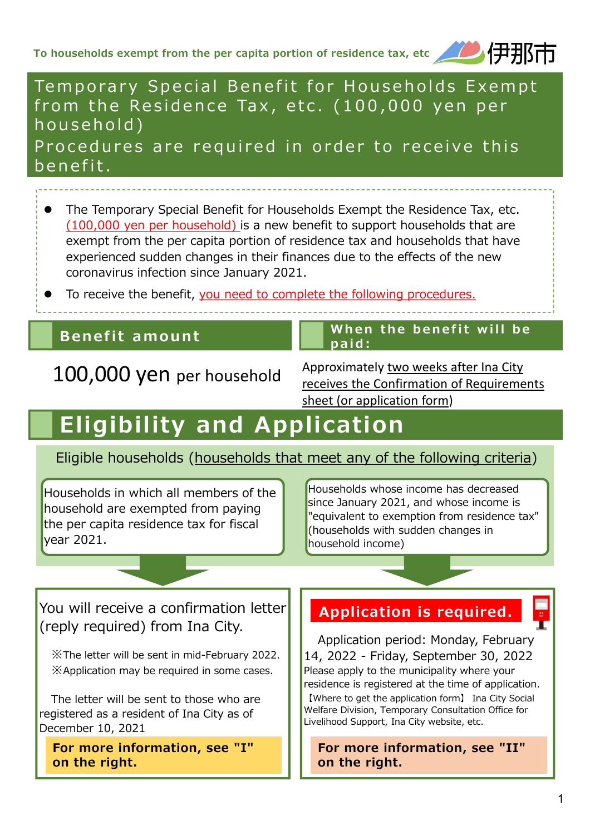

## Tem porary Special Benefit for Households Exempt from the Residence Tax, etc. (100,000 yen per household)

Procedures are required in order to receive this benefit.

- The Temporary Special Benefit for Households Exempt the Residence Tax, etc. (100,000 yen per household) is a new benefit to support households that are exempt from the per capita portion of residence tax and households that have experienced sudden changes in their finances due to the effects of the new coronavirus infection since January 2021.
- To receive the benefit, you need to complete the following procedures.

## Benefit amount  $\begin{array}{|c|c|c|}\n\hline\n\end{array}$  When the benefit will be

100,000 yen per household Approximately two weeks after Ina City receives the Confirmation of Requirements sheet (or application form)

# Eligibility and Application

### Eligible households (households that meet any of the following criteria)

paid:

Households in which all members of the household are exempted from paying the per capita residence tax for fiscal year 2021.

Households whose income has decreased since January 2021, and whose income is "equivalent to exemption from residence tax" (households with sudden changes in household income)

### You will receive a confirmation letter (reply required) from Ina City.

※The letter will be sent in mid-February 2022. ※Application may be required in some cases.

The letter will be sent to those who are registered as a resident of Ina City as of December 10, 2021

For more information, see "I" on the right.

## Application is required.

Application period: Monday, February 14, 2022 - Friday, September 30, 2022 Please apply to the municipality where your residence is registered at the time of application. 【Where to get the application form】 Ina City Social Welfare Division, Temporary Consultation Office for Livelihood Support, Ina City website, etc.

For more information, see "II" on the right.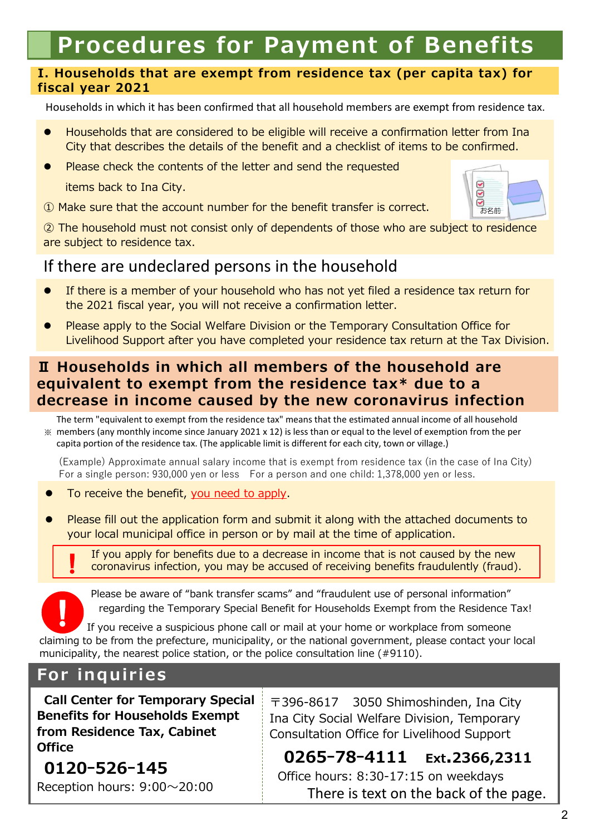# Procedures for Payment of Benefits

#### I. Households that are exempt from residence tax (per capita tax) for fiscal year 2021

Households in which it has been confirmed that all household members are exempt from residence tax.

- Households that are considered to be eligible will receive a confirmation letter from Ina City that describes the details of the benefit and a checklist of items to be confirmed.
- Please check the contents of the letter and send the requested

items back to Ina City.

① Make sure that the account number for the benefit transfer is correct.



② The household must not consist only of dependents of those who are subject to residence are subject to residence tax.

## If there are undeclared persons in the household

- If there is a member of your household who has not yet filed a residence tax return for the 2021 fiscal year, you will not receive a confirmation letter.
- Please apply to the Social Welfare Division or the Temporary Consultation Office for Livelihood Support after you have completed your residence tax return at the Tax Division.

#### Ⅱ Households in which all members of the household are equivalent to exempt from the residence tax\* due to a decrease in income caused by the new coronavirus infection

※ members (any monthly income since January 2021 x 12) is less than or equal to the level of exemption from the per The term "equivalent to exempt from the residence tax" means that the estimated annual income of all household capita portion of the residence tax. (The applicable limit is different for each city, town or village.)

(Example) Approximate annual salary income that is exempt from residence tax (in the case of Ina City) For a single person: 930,000 yen or less For a person and one child: 1,378,000 yen or less.

To receive the benefit, you need to apply.

 Please fill out the application form and submit it along with the attached documents to your local municipal office in person or by mail at the time of application.

If you apply for benefits due to a decrease in income that is not caused by the new coronavirus infection, you may be accused of receiving benefits fraudulently (fraud). !

Please be aware of "bank transfer scams" and "fraudulent use of personal information" regarding the Temporary Special Benefit for Households Exempt from the Residence Tax!

If you receive a suspicious phone call or mail at your home or workplace from someone claiming to be from the prefecture, municipality, or the national government, please contact your local municipality, the nearest police station, or the police consultation line (#9110). !

## For inquiries

Call Center for Temporary Special Benefits for Households Exempt from Residence Tax, Cabinet **Office** 

〒396-8617 3050 Shimoshinden, Ina City Ina City Social Welfare Division, Temporary Consultation Office for Livelihood Support

0120ー526ー145 Reception hours: 9:00〜20:00

0265ー78ー4111 Ext.2366,2311 Office hours: 8:30-17:15 on weekdays There is text on the back of the page.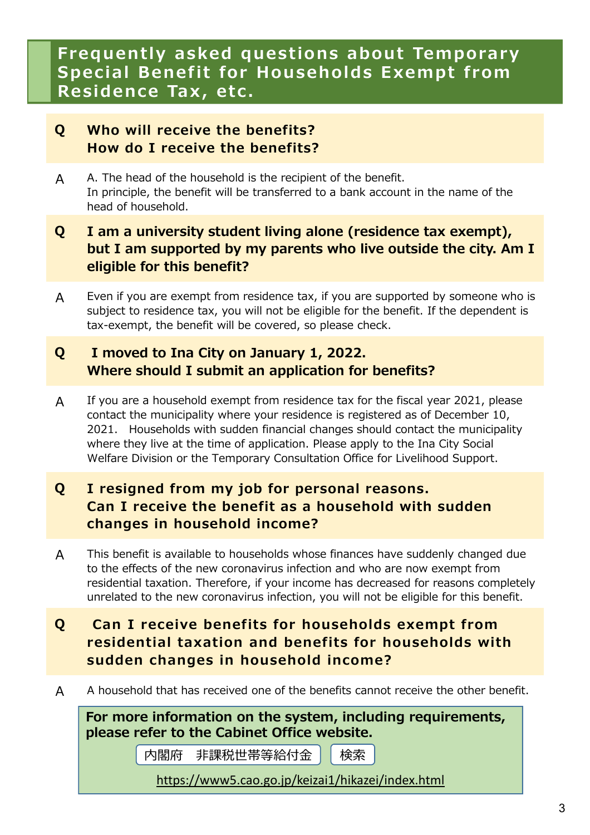## Frequently asked questions about Temporary Special Benefit for Households Exempt from Residence Tax, etc.

#### Q Who will receive the benefits? How do I receive the benefits?

A A. The head of the household is the recipient of the benefit. In principle, the benefit will be transferred to a bank account in the name of the head of household.

#### Q I am a university student living alone (residence tax exempt), but I am supported by my parents who live outside the city. Am I eligible for this benefit?

A Even if you are exempt from residence tax, if you are supported by someone who is subject to residence tax, you will not be eligible for the benefit. If the dependent is tax-exempt, the benefit will be covered, so please check.

#### Q I moved to Ina City on January 1, 2022. Where should I submit an application for benefits?

A If you are a household exempt from residence tax for the fiscal year 2021, please contact the municipality where your residence is registered as of December 10, 2021. Households with sudden financial changes should contact the municipality where they live at the time of application. Please apply to the Ina City Social Welfare Division or the Temporary Consultation Office for Livelihood Support.

#### Q I resigned from my job for personal reasons. Can I receive the benefit as a household with sudden changes in household income?

- A This benefit is available to households whose finances have suddenly changed due to the effects of the new coronavirus infection and who are now exempt from residential taxation. Therefore, if your income has decreased for reasons completely unrelated to the new coronavirus infection, you will not be eligible for this benefit.
- Q Can I receive benefits for households exempt from residential taxation and benefits for households with sudden changes in household income?
- A A household that has received one of the benefits cannot receive the other benefit.

For more information on the system, including requirements, please refer to the Cabinet Office website.

内閣府 非課税世帯等給付金 | 検索

https://www5.cao.go.jp/keizai1/hikazei/index.html